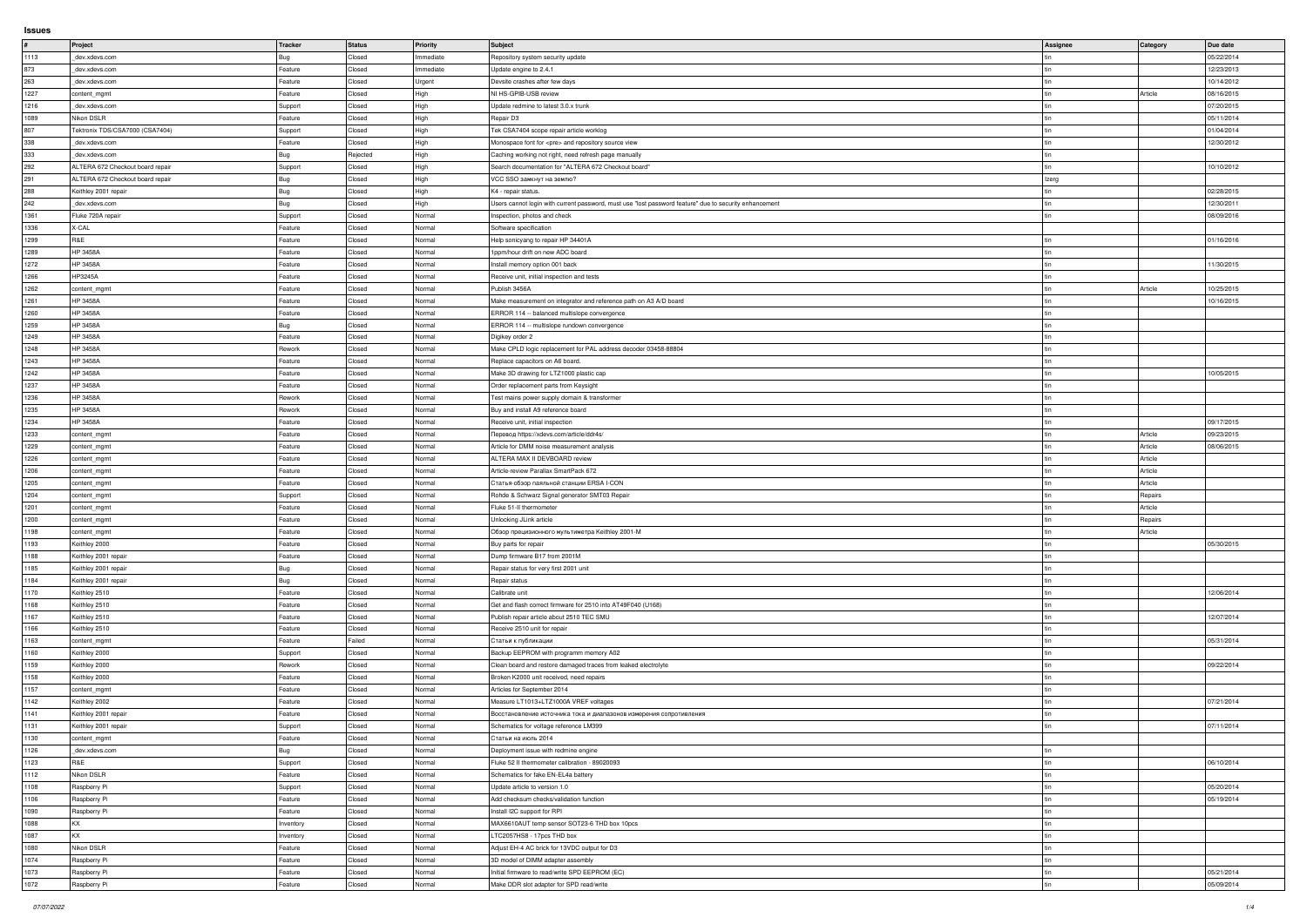**Issues**

| #                                                    | Project                          | Tracker            | Status           | Priority         | Subject                                                                                                | Assignee | <b>Category</b> | Due date                 |
|------------------------------------------------------|----------------------------------|--------------------|------------------|------------------|--------------------------------------------------------------------------------------------------------|----------|-----------------|--------------------------|
|                                                      |                                  |                    |                  |                  |                                                                                                        |          |                 |                          |
| 1113                                                 | dev.xdevs.com                    | Bug                | Closed           | Immediate        | Repository system security update                                                                      |          |                 | 05/22/2014               |
| 873                                                  | dev.xdevs.com                    | Feature            | Closed           | Immediate        | Update engine to 2.4.1                                                                                 |          |                 | 12/23/2013               |
| 263                                                  | dev.xdevs.com                    | Feature            | Closed           | Urgent           | Devsite crashes after few days                                                                         |          |                 | 10/14/2012               |
| 1227                                                 | content_mgmt                     | Feature            | Closed           | High             | NI HS-GPIB-USB review                                                                                  |          | Article         | 08/16/2015               |
| 1216                                                 | _dev.xdevs.com                   | Support            | Closed           | High             | Update redmine to latest 3.0.x trunk                                                                   |          |                 | 07/20/2015               |
| 1089                                                 | Nikon DSLR                       | Feature            | Closed           | High             | Repair D3                                                                                              |          |                 | 05/11/2014               |
| 807                                                  | Tektronix TDS/CSA7000 (CSA7404)  | Support            | Closed           | High             | Tek CSA7404 scope repair article worklog                                                               |          |                 | 01/04/2014               |
|                                                      |                                  |                    |                  |                  |                                                                                                        |          |                 |                          |
| 338                                                  | dev.xdevs.com                    | Feature            | Closed           | High             | Monospace font for <pre> and repository source view</pre>                                              |          |                 | 12/30/2012               |
| 333                                                  | dev.xdevs.com                    | Bug                | Rejected         | High             | Caching working not right, need refresh page manually                                                  |          |                 |                          |
| 292                                                  | ALTERA 672 Checkout board repair | Support            | Closed           | High             | Search documentation for "ALTERA 672 Checkout board"                                                   |          |                 | 10/10/2012               |
| 291                                                  | ALTERA 672 Checkout board repair | Bug                | Closed           | High             | VCC SSO замкнут на землю?                                                                              | Izerg    |                 |                          |
| 288                                                  | Keithley 2001 repair             | Bug                | Closed           | High             | K4 - repair status.                                                                                    |          |                 | 02/28/2015               |
| 242                                                  | dev.xdevs.com                    | Bug                | Closed           | High             | Users cannot login with current password, must use "lost password feature" due to security enhancement |          |                 | 12/30/2011               |
| 1361                                                 | Fluke 720A repair                | Support            | Closed           | Normal           | Inspection, photos and check                                                                           |          |                 | 08/09/2016               |
| 1336                                                 | X-CAL                            | Feature            | Closed           | Normal           |                                                                                                        |          |                 |                          |
|                                                      |                                  |                    |                  |                  | Software specification                                                                                 |          |                 |                          |
| 1299                                                 | R&E                              | Feature            | Closed           | Normal           | Help sonicyang to repair HP 34401A                                                                     |          |                 | 01/16/2016               |
| 1289                                                 | HP 3458A                         | Feature            | Closed           | Normal           | 1ppm/hour drift on new ADC board                                                                       |          |                 |                          |
| 1272                                                 | <b>HP 3458A</b>                  | Feature            | Closed           | Normal           | Install memory option 001 back                                                                         |          |                 | 11/30/2015               |
| 1266                                                 | HP3245A                          | Feature            | Closed           | Normal           | Receive unit, initial inspection and tests                                                             |          |                 |                          |
| 1262                                                 | content_mgmt                     | Feature            | Closed           | Normal           | Publish 3456A                                                                                          |          | Article         | 10/25/2015               |
| 1261                                                 | <b>HP 3458A</b>                  | Feature            | Closed           | Normal           | Make measurement on integrator and reference path on A3 A/D board                                      |          |                 | 10/16/2015               |
| 1260                                                 | HP 3458A                         | Feature            | Closed           | Normal           | ERROR 114 -- balanced multislope convergence                                                           |          |                 |                          |
|                                                      |                                  |                    |                  |                  |                                                                                                        |          |                 |                          |
| 1259                                                 | <b>HP 3458A</b>                  | Bug                | Closed           | Normal           | ERROR 114 -- multislope rundown convergence                                                            |          |                 |                          |
| 1249                                                 | HP 3458A                         | Feature            | Closed           | Normal           | Digikey order 2                                                                                        |          |                 |                          |
| 1248                                                 | <b>HP 3458A</b>                  | Rework             | Closed           | Normal           | Make CPLD logic replacement for PAL address decoder 03458-88804                                        |          |                 |                          |
| 1243                                                 | HP 3458A                         | Feature            | Closed           | Normal           | Replace capacitors on A6 board.                                                                        |          |                 |                          |
| 1242                                                 | HP 3458A                         | Feature            | Closed           | Normal           | Make 3D drawing for LTZ1000 plastic cap                                                                |          |                 | 10/05/2015               |
| 1237                                                 | HP 3458A                         | Feature            | Closed           | Normal           | Order replacement parts from Keysight                                                                  |          |                 |                          |
| 1236                                                 | HP 3458A                         | Rework             | Closed           | Normal           | Test mains power supply domain & transformer                                                           |          |                 |                          |
|                                                      |                                  |                    |                  |                  |                                                                                                        |          |                 |                          |
| 1235                                                 | <b>HP 3458A</b>                  | Rework             | Closed           | Normal           | Buy and install A9 reference board                                                                     |          |                 |                          |
| 1234                                                 | HP 3458A                         | Feature            | Closed           | Normal           | Receive unit, initial inspection                                                                       |          |                 | 09/17/2015               |
| 1233                                                 | content_mgmt                     | Feature            | Closed           | Normal           | Перевод https://xdevs.com/article/ddr4s/                                                               |          | Article         | 09/23/2015               |
| 1229                                                 | content_mgmt                     | Feature            | Closed           | Normal           | Article for DMM noise measurement analysis                                                             |          | Article         | 08/06/2015               |
| 1226                                                 | content_mgmt                     | Feature            | Closed           | Normal           | ALTERA MAX II DEVBOARD review                                                                          |          | Article         |                          |
|                                                      |                                  |                    |                  |                  |                                                                                                        |          |                 |                          |
|                                                      | content_mgmt                     | Feature            | Closed           | Normal           | Article-review Parallax SmartPack 672                                                                  |          | Article         |                          |
|                                                      |                                  |                    |                  |                  |                                                                                                        |          |                 |                          |
|                                                      | content_mgmt                     | Feature            | Closed           | Normal           | Статья-обзор паяльной станции ERSA I-CON                                                               |          | Article         |                          |
| 1206<br>1205<br>1204                                 | content_mgmt                     | Support            | Closed           | Normal           | Rohde & Schwarz Signal generator SMT03 Repair                                                          |          | Repairs         |                          |
| 1201                                                 | content_mgmt                     | Feature            | Closed           | Normal           | Fluke 51-II thermometer                                                                                |          | Article         |                          |
| 1200                                                 | content_mgmt                     | Feature            | Closed           | Normal           | Unlocking JLink article                                                                                |          | Repairs         |                          |
| 1198                                                 | content_mgmt                     | Feature            | Closed           | Normal           | Обзор прецизионного мультиметра Keithley 2001-M                                                        |          | Article         |                          |
|                                                      | Keithley 2000                    | Feature            | Closed           | Normal           | Buy parts for repair                                                                                   |          |                 | 05/30/2015               |
|                                                      | Keithley 2001 repair             | Feature            | Closed           | Normal           | Dump firmware B17 from 2001M                                                                           |          |                 |                          |
|                                                      |                                  |                    |                  |                  |                                                                                                        |          |                 |                          |
| 1193<br>1188<br>1185                                 | Keithley 2001 repair             | Bug                | Closed           | Normal           | Repair status for very first 2001 unit                                                                 |          |                 |                          |
|                                                      | Keithley 2001 repair             | Bug                | Closed           | Normal           | Repair status                                                                                          |          |                 |                          |
| 1184<br>1170                                         | Keithley 2510                    | Feature            | Closed           | Normal           | Calibrate unit                                                                                         |          |                 | 12/06/2014               |
| 1168                                                 | Keithley 2510                    | Feature            | Closed           | Normal           | Get and flash correct firmware for 2510 into AT49F040 (U168)                                           |          |                 |                          |
| 1167                                                 | Keithley 2510                    | Feature            | Closed           | Normal           | Publish repair article about 2510 TEC SMU                                                              |          |                 | 12/07/2014               |
| 1166                                                 | Keithley 2510                    | Feature            | Closed           | Normal           | Receive 2510 unit for repair                                                                           |          |                 |                          |
| 1163                                                 | content_mgmt                     | Feature            | Failed           | Normal           | Статьи к публикации                                                                                    |          |                 | 05/31/2014               |
| 1160                                                 | Keithley 2000                    | Support            | Closed           | Normal           | Backup EEPROM with programm memory A02                                                                 |          |                 |                          |
|                                                      |                                  |                    |                  |                  |                                                                                                        |          |                 |                          |
| 1159                                                 | Keithley 2000                    | Rework             | Closed           | Normal           | Clean board and restore damaged traces from leaked electrolyte                                         |          |                 | 09/22/2014               |
| 1158                                                 | Keithley 2000                    | Feature            | Closed           | Normal           | Broken K2000 unit received, need repairs                                                               |          |                 |                          |
|                                                      | content_mgmt                     | Feature            | Closed           | Normal           | Articles for September 2014                                                                            |          |                 |                          |
| 1157<br>1142                                         | Keithley 2002                    | Feature            | Closed           | Normal           | Measure LT1013+LTZ1000A VREF voltages                                                                  |          |                 | 07/21/2014               |
|                                                      | Keithley 2001 repair             | Feature            | Closed           | Normal           | Восстановление источника тока и диапазонов измерения сопротивления                                     |          |                 |                          |
|                                                      | Keithley 2001 repair             | Support            | Closed           | Normal           | Schematics for voltage reference LM399                                                                 |          |                 | 07/11/2014               |
|                                                      | content_mgmt                     | Feature            | Closed           | Normal           | Статьи на июль 2014                                                                                    |          |                 |                          |
| 1141<br>1131<br>1130<br>1126                         | dev.xdevs.com                    | Bug                | Closed           | Normal           | Deployment issue with redmine engine                                                                   |          |                 |                          |
| 1123                                                 | R&E                              |                    | Closed           | Normal           | Fluke 52 II thermometer calibration - 89020093                                                         |          |                 | 06/10/2014               |
|                                                      |                                  | Support            |                  |                  |                                                                                                        |          |                 |                          |
|                                                      | Nikon DSLR                       | Feature            | Closed           | Normal           | Schematics for fake EN-EL4a battery                                                                    |          |                 |                          |
|                                                      | Raspberry Pi                     | Support            | Closed           | Normal           | Update article to version 1.0                                                                          |          |                 | 05/20/2014               |
|                                                      | Raspberry Pi                     | Feature            | Closed           | Normal           | Add checksum checks/validation function                                                                |          |                 | 05/19/2014               |
|                                                      | Raspberry Pi                     | Feature            | Closed           | Normal           | Install I2C support for RPI                                                                            |          |                 |                          |
|                                                      | KX                               | Inventory          | Closed           | Normal           | MAX6610AUT temp sensor SOT23-6 THD box 10pcs                                                           |          |                 |                          |
|                                                      | KX                               | Inventory          | Closed           | Normal           | LTC2057HS8 - 17pcs THD box                                                                             |          |                 |                          |
| 1112<br>1108<br>1106<br>1090<br>1088<br>1087<br>1080 | Nikon DSLR                       | Feature            | Closed           | Normal           | Adjust EH-4 AC brick for 13VDC output for D3                                                           |          |                 |                          |
| 1074                                                 | Raspberry Pi                     | Feature            | Closed           | Normal           | 3D model of DIMM adapter assembly                                                                      |          |                 |                          |
|                                                      |                                  |                    |                  |                  |                                                                                                        |          |                 |                          |
| 1073<br>1072                                         | Raspberry Pi<br>Raspberry Pi     | Feature<br>Feature | Closed<br>Closed | Normal<br>Normal | Initial firmware to read/write SPD EEPROM (EC)<br>Make DDR slot adapter for SPD read/write             |          |                 | 05/21/2014<br>05/09/2014 |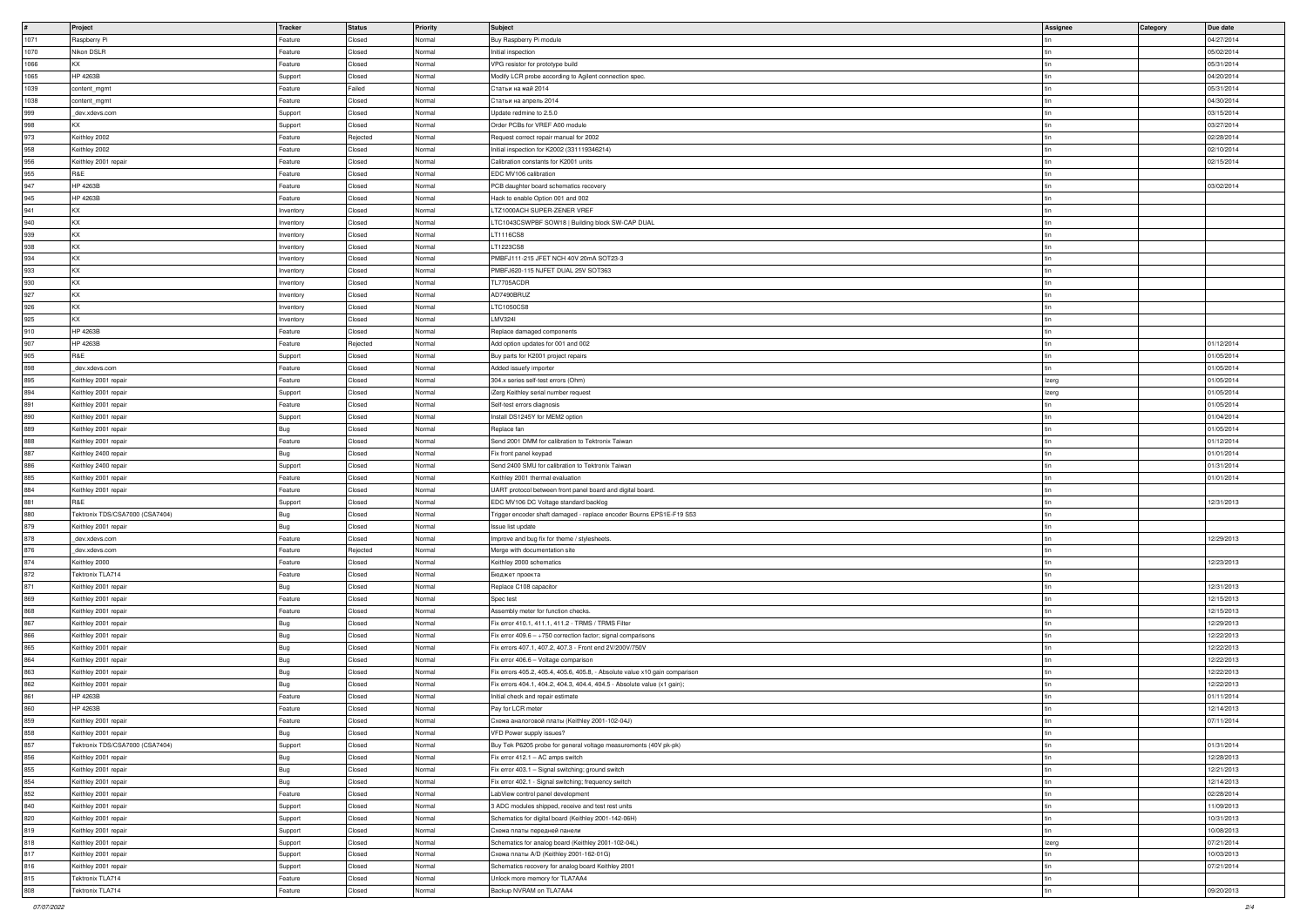|               | Project                         | Tracker    | Status   | <b>Priority</b> | Subject                                                                     | Assignee     | Category | Due date   |
|---------------|---------------------------------|------------|----------|-----------------|-----------------------------------------------------------------------------|--------------|----------|------------|
| 1071          | Raspberry Pi                    | Feature    | Closed   | Normal          | Buy Raspberry Pi module                                                     |              |          | 04/27/2014 |
| 1070          | Nikon DSLR                      | Feature    | Closed   | Normal          | Initial inspection                                                          |              |          | 05/02/2014 |
| 1066          | KX                              | Feature    | Closed   | Normal          | VPG resistor for prototype build                                            |              |          | 05/31/2014 |
| 1065          | HP 4263B                        | Support    | Closed   | Normal          | Modify LCR probe according to Agilent connection spec.                      |              |          | 04/20/2014 |
|               |                                 |            |          |                 |                                                                             |              |          |            |
| 1039          | content_mgmt                    | Feature    | Failed   | Normal          | Статьи на май 2014                                                          |              |          | 05/31/2014 |
| 1038          | content_mgmt                    | Feature    | Closed   | Normal          | Статьи на апрель 2014                                                       |              |          | 04/30/2014 |
| 999           | _dev.xdevs.com                  | Support    | Closed   | Normal          | Update redmine to 2.5.0                                                     |              |          | 03/15/2014 |
| 998           | KX.                             | Support    | Closed   | Normal          | Order PCBs for VREF A00 module                                              |              |          | 03/27/2014 |
| 973           | Keithley 2002                   | Feature    | Rejected | Normal          | Request correct repair manual for 2002                                      |              |          | 02/28/2014 |
| 958           | Keithley 2002                   | Feature    | Closed   | Normal          | Initial inspection for K2002 (331119346214)                                 |              |          | 02/10/2014 |
|               |                                 |            |          |                 |                                                                             |              |          |            |
| 956           | Keithley 2001 repair            | Feature    | Closed   | Normal          | Calibration constants for K2001 units                                       |              |          | 02/15/2014 |
| 955           | R&E                             | Feature    | Closed   | Normal          | EDC MV106 calibration                                                       |              |          |            |
| $ 947\rangle$ | HP 4263B                        | Feature    | Closed   | Normal          | PCB daughter board schematics recovery                                      |              |          | 03/02/2014 |
| 945           | HP 4263B                        | Feature    | Closed   | Normal          | Hack to enable Option 001 and 002                                           |              |          |            |
| 941           | KX                              | Inventory  | Closed   | Normal          | LTZ1000ACH SUPER-ZENER VREF                                                 |              |          |            |
|               | KX                              |            | Closed   | Normal          |                                                                             |              |          |            |
| 940           |                                 | Inventory  |          |                 | LTC1043CSWPBF SOW18   Building block SW-CAP DUAL                            |              |          |            |
| 939           | <b>KX</b>                       | Inventory  | Closed   | Normal          | LT1116CS8                                                                   |              |          |            |
| 938           | KX                              | Inventory  | Closed   | Normal          | LT1223CS8                                                                   |              |          |            |
| 934           | KX                              | Inventory  | Closed   | Normal          | PMBFJ111-215 JFET NCH 40V 20mA SOT23-3                                      |              |          |            |
| 933           | KX                              | Inventory  | Closed   | Normal          | PMBFJ620-115 NJFET DUAL 25V SOT363                                          |              |          |            |
| 930           | KX.                             |            | Closed   | Normal          | TL7705ACDR                                                                  |              |          |            |
|               |                                 | Inventory  |          |                 |                                                                             |              |          |            |
| 927           | <b>KX</b>                       | Inventory  | Closed   | Normal          | AD7490BRUZ                                                                  |              |          |            |
| 926           | KX.                             | Inventory  | Closed   | Normal          | LTC1050CS8                                                                  |              |          |            |
| 925           | KX                              | Inventory  | Closed   | Normal          | <b>LMV324I</b>                                                              |              |          |            |
| 910           | HP 4263B                        | Feature    | Closed   | Normal          | Replace damaged components                                                  |              |          |            |
|               |                                 |            |          |                 |                                                                             |              |          |            |
| 907           | HP 4263B                        | Feature    | Rejected | Normal          | Add option updates for 001 and 002                                          |              |          | 01/12/2014 |
| 905           | R&E                             | Support    | Closed   | Normal          | Buy parts for K2001 project repairs                                         |              |          | 01/05/2014 |
| 898           | _dev.xdevs.com                  | Feature    | Closed   | Normal          | Added issuefy importer                                                      | l tin        |          | 01/05/2014 |
| 895           | Keithley 2001 repair            | Feature    | Closed   | Normal          | 304.x series self-test errors (Ohm)                                         | <b>Izerg</b> |          | 01/05/2014 |
| 894           | Keithley 2001 repair            | Support    | Closed   | Normal          | iZerg Keithley serial number request                                        | Izerg        |          | 01/05/2014 |
|               |                                 |            |          |                 |                                                                             |              |          |            |
| 891           | Keithley 2001 repair            | Feature    | Closed   | Normal          | Self-test errors diagnosis                                                  |              |          | 01/05/2014 |
| 890           | Keithley 2001 repair            | Support    | Closed   | Normal          | Install DS1245Y for MEM2 option                                             |              |          | 01/04/2014 |
| 889           | Keithley 2001 repair            | Bug        | Closed   | Normal          | Replace fan                                                                 |              |          | 01/05/2014 |
| 888           | Keithley 2001 repair            | Feature    | Closed   | Normal          | Send 2001 DMM for calibration to Tektronix Taiwan                           |              |          | 01/12/2014 |
| 887           | Keithley 2400 repair            | Bug        | Closed   | Normal          | Fix front panel keypad                                                      |              |          | 01/01/2014 |
|               |                                 |            |          |                 | Send 2400 SMU for calibration to Tektronix Taiwan                           |              |          |            |
| 886           | Keithley 2400 repair            | Support    | Closed   | Normal          |                                                                             |              |          | 01/31/2014 |
| 885           | Keithley 2001 repair            | Feature    | Closed   | Normal          | Keithley 2001 thermal evaluation                                            |              |          | 01/01/2014 |
| 884           | Keithley 2001 repair            | Feature    | Closed   | Normal          | UART protocol between front panel board and digital board.                  |              |          |            |
| 881           | R&E                             | Support    | Closed   | Normal          | EDC MV106 DC Voltage standard backlog                                       |              |          | 12/31/2013 |
| 880           | Tektronix TDS/CSA7000 (CSA7404) | Bug        | Closed   | Normal          | Trigger encoder shaft damaged - replace encoder Bourns EPS1E-F19 S53        |              |          |            |
| 879           | Keithley 2001 repair            |            | Closed   | Normal          | Issue list update                                                           |              |          |            |
|               |                                 | Bug        |          |                 |                                                                             |              |          |            |
| 878           | _dev.xdevs.com                  | Feature    | Closed   | Normal          | Improve and bug fix for theme / stylesheets.                                |              |          | 12/29/2013 |
| 876           | dev.xdevs.com                   | Feature    | Rejected | Normal          | Merge with documentation site                                               |              |          |            |
| 874           | Keithley 2000                   | Feature    | Closed   | Normal          | Keithley 2000 schematics                                                    |              |          | 12/23/2013 |
| 872           | Tektronix TLA714                | Feature    | Closed   | Normal          | Бюджет проекта                                                              |              |          |            |
| 871           | Keithley 2001 repair            | Bug        | Closed   | Normal          | Replace C108 capacitor                                                      |              |          | 12/31/2013 |
| 869           |                                 |            | Closed   | Normal          |                                                                             |              |          | 12/15/2013 |
|               | Keithley 2001 repair            | Feature    |          |                 | Spec test                                                                   |              |          |            |
| 868           | Keithley 2001 repair            | Feature    | Closed   | Normal          | Assembly meter for function checks.                                         |              |          | 12/15/2013 |
| 867           | Keithley 2001 repair            | Bug        | Closed   | Normal          | Fix error 410.1, 411.1, 411.2 - TRMS / TRMS Filter                          |              |          | 12/29/2013 |
| 866           | Keithley 2001 repair            | Bug        | Closed   | Normal          | $\vert$ Fix error 409.6 - ÷750 correction factor; signal comparisons        |              |          | 12/22/2013 |
| 865           | Keithley 2001 repair            | Bug        | Closed   | Normal          | Fix errors 407.1, 407.2, 407.3 - Front end 2V/200V/750V                     |              |          | 12/22/2013 |
| 864           | Keithley 2001 repair            | Bug        | Closed   | Normal          | Fix error 406.6 - Voltage comparison                                        |              |          | 12/22/2013 |
|               |                                 |            |          |                 |                                                                             |              |          | 12/22/2013 |
| 863           | Keithley 2001 repair            | Bug        | Closed   | Normal          | Fix errors 405.2, 405.4, 405.6, 405.8, - Absolute value x10 gain comparison |              |          |            |
| 862           | Keithley 2001 repair            | <b>Bug</b> | Closed   | Normal          | Fix errors 404.1, 404.2, 404.3, 404.4, 404.5 - Absolute value (x1 gain);    |              |          | 12/22/2013 |
| 861           | HP 4263B                        | Feature    | Closed   | Normal          | Initial check and repair estimate                                           |              |          | 01/11/2014 |
| 860           | HP 4263B                        | Feature    | Closed   | Normal          | Pay for LCR meter                                                           |              |          | 12/14/2013 |
| 859           | Keithley 2001 repair            | Feature    | Closed   | Normal          | Cхема аналоговой платы (Keithley 2001-102-04J)                              |              |          | 07/11/2014 |
| 858           | Keithley 2001 repair            | Bug        | Closed   | Normal          | VFD Power supply issues?                                                    |              |          |            |
|               |                                 |            |          |                 |                                                                             |              |          |            |
| 857           | Tektronix TDS/CSA7000 (CSA7404) | Support    | Closed   | Normal          | Buy Tek P6205 probe for general voltage measurements (40V pk-pk)            |              |          | 01/31/2014 |
| 856           | Keithley 2001 repair            | Bug        | Closed   | Normal          | Fix error 412.1 – AC amps switch                                            |              |          | 12/28/2013 |
| 855           | Keithley 2001 repair            | Bug        | Closed   | Normal          | Fix error 403.1 - Signal switching; ground switch                           |              |          | 12/21/2013 |
| 854           | Keithley 2001 repair            | Bug        | Closed   | Normal          | Fix error 402.1 - Signal switching; frequency switch                        |              |          | 12/14/2013 |
| 852           | Keithley 2001 repair            | Feature    | Closed   | Normal          | LabView control panel development                                           |              |          | 02/28/2014 |
|               |                                 |            |          |                 |                                                                             |              |          |            |
| 840           | Keithley 2001 repair            | Support    | Closed   | Normal          | 3 ADC modules shipped, receive and test rest units                          |              |          | 11/09/2013 |
| 820           | Keithley 2001 repair            | Support    | Closed   | Normal          | Schematics for digital board (Keithley 2001-142-06H)                        |              |          | 10/31/2013 |
| 819           | Keithley 2001 repair            | Support    | Closed   | Normal          | Схема платы передней панели                                                 |              |          | 10/08/2013 |
| 818           | Keithley 2001 repair            | Support    | Closed   | Normal          | Schematics for analog board (Keithley 2001-102-04L)                         | Izerg        |          | 07/21/2014 |
| 817           | Keithley 2001 repair            | Support    | Closed   | Normal          | Схема платы A/D (Keithley 2001-162-01G)                                     |              |          | 10/03/2013 |
|               |                                 |            |          |                 |                                                                             |              |          |            |
| 816           | Keithley 2001 repair            | Support    | Closed   | Normal          | Schematics recovery for analog board Keithley 2001                          |              |          | 07/21/2014 |
| 815           | Tektronix TLA714                | Feature    | Closed   | Normal          | Unlock more memory for TLA7AA4                                              |              |          |            |
| 808           | Tektronix TLA714                | Feature    | Closed   | Normal          | Backup NVRAM on TLA7AA4                                                     |              |          | 09/20/2013 |
|               |                                 |            |          |                 |                                                                             |              |          |            |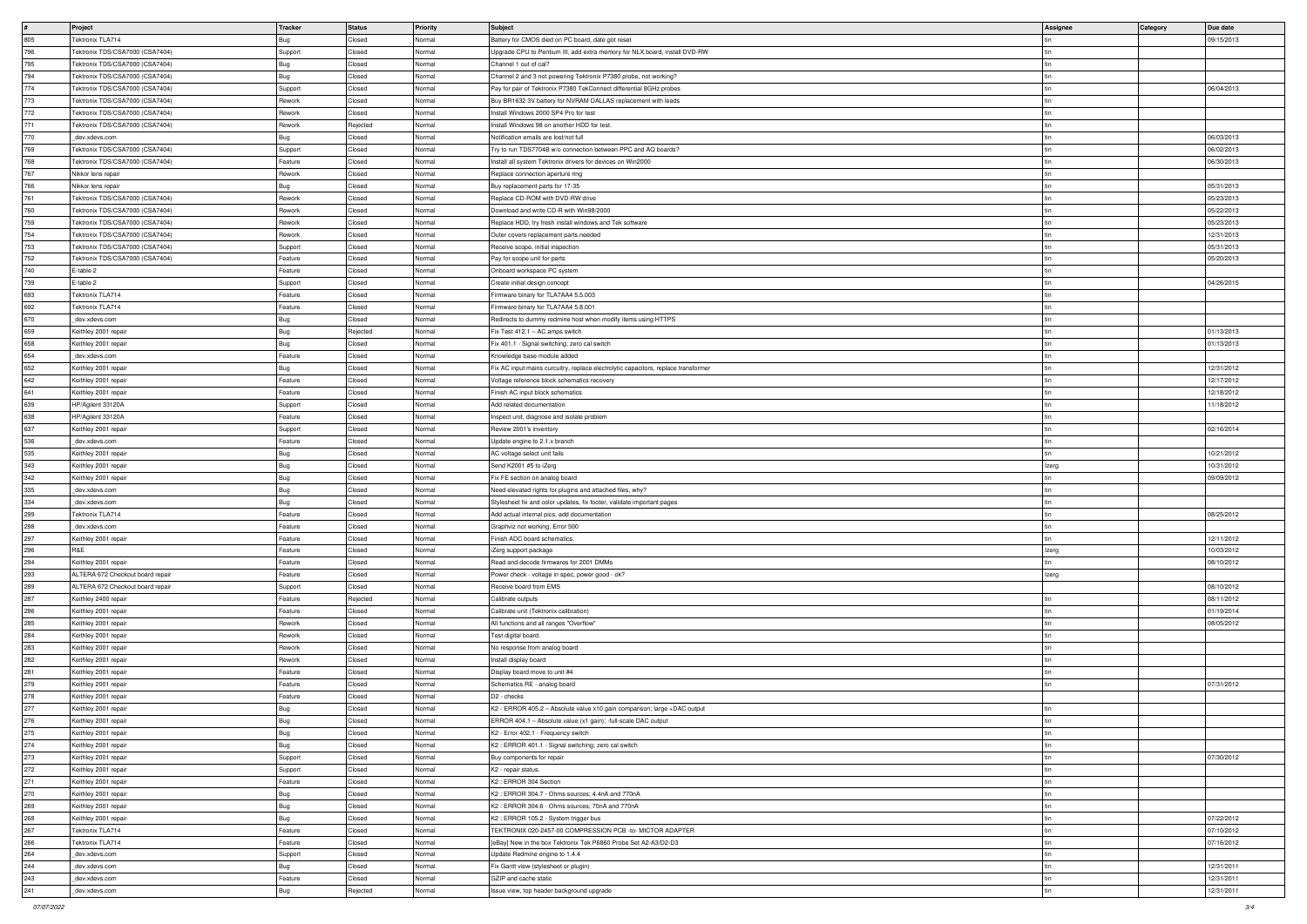|     |                                  |            |          |                 |                                                                                    |          |                 | Due date   |
|-----|----------------------------------|------------|----------|-----------------|------------------------------------------------------------------------------------|----------|-----------------|------------|
|     | Project                          | Tracker    | Status   | <b>Priority</b> | Subject                                                                            | Assignee | <b>Category</b> |            |
| 805 | Tektronix TLA714                 | Bug        | Closed   | Normal          | Battery for CMOS died on PC board, date got reset                                  |          |                 | 09/15/2013 |
| 796 | Tektronix TDS/CSA7000 (CSA7404)  | Support    | Closed   | Normal          | Upgrade CPU to Pentium III, add extra memory for NLX board, install DVD-RW         |          |                 |            |
| 795 | Tektronix TDS/CSA7000 (CSA7404)  | Bug        | Closed   | Normal          | Channel 1 out of cal?                                                              |          |                 |            |
| 794 | Tektronix TDS/CSA7000 (CSA7404)  | Bug        | Closed   | Normal          | Channel 2 and 3 not powering Tektronix P7380 probe, not working?                   |          |                 |            |
| 774 | Tektronix TDS/CSA7000 (CSA7404)  | Support    | Closed   | Normal          | Pay for pair of Tektronix P7380 TekConnect differential 8GHz probes                |          |                 | 06/04/2013 |
| 773 | Tektronix TDS/CSA7000 (CSA7404)  | Rework     | Closed   | Normal          | Buy BR1632 3V battery for NVRAM DALLAS replacement with leads                      |          |                 |            |
| 772 | Tektronix TDS/CSA7000 (CSA7404)  | Rework     | Closed   | Normal          | Install Windows 2000 SP4 Pro for test                                              |          |                 |            |
|     |                                  |            |          |                 |                                                                                    |          |                 |            |
| 771 | Tektronix TDS/CSA7000 (CSA7404)  | Rework     | Rejected | Normal          | Install Windows 98 on another HDD for test.                                        |          |                 |            |
| 770 | dev.xdevs.com                    | <b>Bug</b> | Closed   | Normal          | Notification emails are lost/not full                                              |          |                 | 06/03/2013 |
| 769 | Tektronix TDS/CSA7000 (CSA7404)  | Support    | Closed   | Normal          | Try to run TDS7704B w/o connection between PPC and AQ boards?                      |          |                 | 06/02/2013 |
| 768 | Tektronix TDS/CSA7000 (CSA7404)  | Feature    | Closed   | Normal          | Install all system Tektronix drivers for devices on Win2000                        |          |                 | 06/30/2013 |
| 767 | Nikkor lens repair               | Rework     | Closed   | Normal          | Replace connection aperture ring                                                   |          |                 |            |
| 766 | Nikkor lens repair               | Bug        | Closed   | Normal          | Buy replacement parts for 17-35                                                    |          |                 | 05/31/2013 |
|     |                                  | Rework     |          |                 |                                                                                    |          |                 | 05/23/2013 |
| 761 | Tektronix TDS/CSA7000 (CSA7404)  |            | Closed   | Normal          | Replace CD-ROM with DVD-RW drive                                                   |          |                 |            |
| 760 | Tektronix TDS/CSA7000 (CSA7404)  | Rework     | Closed   | Normal          | Download and write CD-R with Win98/2000                                            |          |                 | 05/22/2013 |
| 759 | Tektronix TDS/CSA7000 (CSA7404)  | Rework     | Closed   | Normal          | Replace HDD, try fresh install windows and Tek software                            |          |                 | 05/23/2013 |
| 754 | Tektronix TDS/CSA7000 (CSA7404)  | Rework     | Closed   | Normal          | Outer covers replacement parts needed                                              |          |                 | 12/31/2013 |
| 753 | Tektronix TDS/CSA7000 (CSA7404)  | Support    | Closed   | Normal          | Receive scope, initial inspection                                                  |          |                 | 05/31/2013 |
| 752 | Tektronix TDS/CSA7000 (CSA7404)  | Feature    | Closed   | Normal          | Pay for scope unit for parts                                                       |          |                 | 05/20/2013 |
| 740 | E-table 2                        | Feature    | Closed   | Normal          | Onboard workspace PC system                                                        |          |                 |            |
| 739 | E-table 2                        |            | Closed   | Normal          |                                                                                    |          |                 | 04/26/2015 |
|     |                                  | Support    |          |                 | Create initial design concept                                                      |          |                 |            |
| 693 | Tektronix TLA714                 | Feature    | Closed   | Normal          | Firmware binary for TLA7AA4 5.5.003                                                |          |                 |            |
| 692 | Tektronix TLA714                 | Feature    | Closed   | Normal          | Firmware binary for TLA7AA4 5.8.001                                                |          |                 |            |
| 670 | dev.xdevs.com                    | Bug        | Closed   | Normal          | Redirects to dummy redmine host when modify items using HTTPS                      |          |                 |            |
| 659 | Keithley 2001 repair             | Bug        | Rejected | Normal          | $\vert$ Fix Test 412.1 – AC amps switch                                            |          |                 | 01/13/2013 |
| 658 | Keithley 2001 repair             | Bug        | Closed   | Normal          | Fix 401.1 - Signal switching; zero cal switch                                      |          |                 | 01/13/2013 |
| 654 | dev.xdevs.com                    | Feature    | Closed   | Normal          | Knowledge base module added                                                        |          |                 |            |
|     |                                  |            |          |                 |                                                                                    |          |                 |            |
| 652 | Keithley 2001 repair             | Bug        | Closed   | Normal          | Fix AC input mains curcuitry, replace electrolytic capacitors, replace transformer |          |                 | 12/31/2012 |
| 642 | Keithley 2001 repair             | Feature    | Closed   | Normal          | Voltage reference block schematics recovery                                        |          |                 | 12/17/2012 |
| 641 | Keithley 2001 repair             | Feature    | Closed   | Normal          | Finish AC input block schematics                                                   |          |                 | 12/18/2012 |
| 639 | HP/Agilent 33120A                | Support    | Closed   | Normal          | Add related documentation                                                          |          |                 | 11/18/2012 |
| 638 | HP/Agilent 33120A                | Feature    | Closed   | Normal          | Inspect unit, diagnose and isolate problem                                         |          |                 |            |
| 637 | Keithley 2001 repair             | Support    | Closed   | Normal          | Review 2001's inventory                                                            |          |                 | 02/16/2014 |
|     |                                  |            |          |                 |                                                                                    |          |                 |            |
| 536 | dev.xdevs.com                    | Feature    | Closed   | Normal          | Update engine to 2.1.x branch                                                      |          |                 |            |
| 535 | Keithley 2001 repair             | Bug        | Closed   | Normal          | AC voltage select unit fails                                                       |          |                 | 10/21/2012 |
| 343 | Keithley 2001 repair             | Bug        | Closed   | Normal          | Send K2001 #5 to iZerg                                                             | Izerg    |                 | 10/31/2012 |
| 342 | Keithley 2001 repair             | Bug        | Closed   | Normal          | Fix FE section on analog board                                                     |          |                 | 09/09/2012 |
| 335 | dev.xdevs.com                    | Bug        | Closed   | Normal          | Need elevated rights for plugins and attached files, why?                          |          |                 |            |
| 334 | dev.xdevs.com                    | Bug        | Closed   | Normal          | Stylesheet fix and color updates, fix footer, validate important pages             |          |                 |            |
|     |                                  |            |          |                 |                                                                                    |          |                 |            |
| 299 | Tektronix TLA714                 | Feature    | Closed   | Normal          | Add actual internal pics, add documentation                                        |          |                 | 08/25/2012 |
| 298 | _dev.xdevs.com                   | Feature    | Closed   | Normal          | Graphviz not working, Error 500                                                    |          |                 |            |
| 297 | Keithley 2001 repair             | Feature    | Closed   | Normal          | Finish ADC board schematics.                                                       |          |                 | 12/11/2012 |
| 296 | R&E                              | Feature    | Closed   | Normal          | iZerg support package                                                              | Izerg    |                 | 10/03/2012 |
| 294 | Keithley 2001 repair             | Feature    | Closed   | Normal          | Read and decode firmwares for 2001 DMMs                                            |          |                 | 08/10/2012 |
| 293 | ALTERA 672 Checkout board repair | Feature    | Closed   | Normal          | Power check - voltage in spec, power good - ok?                                    | Izerg    |                 |            |
| 289 | ALTERA 672 Checkout board repair | Support    | Closed   | Normal          | Receive board from EMS                                                             |          |                 | 08/10/2012 |
|     |                                  |            |          |                 |                                                                                    |          |                 |            |
| 287 | Keithley 2400 repair             | Feature    | Rejected | Normal          | Calibrate outputs                                                                  |          |                 | 08/11/2012 |
| 286 | Keithley 2001 repair             | Feature    | Closed   | Normal          | Calibrate unit (Tektronix calibration)                                             |          |                 | 01/19/2014 |
| 285 | Keithley 2001 repair             | Rework     | Closed   | Normal          | All functions and all ranges "Overflow"                                            |          |                 | 08/05/2012 |
| 284 | Keithley 2001 repair             | Rework     | Closed   | Normal          | Test digital board.                                                                |          |                 |            |
| 283 | Keithley 2001 repair             | Rework     | Closed   | Normal          | No response from analog board                                                      |          |                 |            |
| 282 | Keithley 2001 repair             | Rework     | Closed   | Normal          | Install display board                                                              |          |                 |            |
| 281 | Keithley 2001 repair             | Feature    | Closed   | Normal          | Display board move to unit #4                                                      |          |                 |            |
|     |                                  |            |          |                 |                                                                                    |          |                 |            |
| 279 | Keithley 2001 repair             | Feature    | Closed   | Normal          | Schematics RE - analog board                                                       |          |                 | 07/31/2012 |
| 278 | Keithley 2001 repair             | Feature    | Closed   | Normal          | D <sub>2</sub> - checks                                                            |          |                 |            |
| 277 | Keithley 2001 repair             | Bug        | Closed   | Normal          | K2 - ERROR 405.2 - Absolute value x10 gain comparison; large +DAC output           |          |                 |            |
| 276 | Keithley 2001 repair             | <b>Bug</b> | Closed   | Normal          | ERROR 404.1 - Absolute value (x1 gain); -full-scale DAC output                     |          |                 |            |
| 275 | Keithley 2001 repair             | <b>Bug</b> | Closed   | Normal          | K2 - Error 402.1 - Frequency switch                                                |          |                 |            |
| 274 | Keithley 2001 repair             | Bug        | Closed   | Normal          | K2: ERROR 401.1 - Signal switching; zero cal switch                                |          |                 |            |
| 273 | Keithley 2001 repair             | Support    | Closed   | Normal          | Buy components for repair                                                          |          |                 | 07/30/2012 |
|     |                                  |            |          |                 |                                                                                    |          |                 |            |
| 272 | Keithley 2001 repair             | Support    | Closed   | Normal          | K2 - repair status.                                                                |          |                 |            |
| 271 | Keithley 2001 repair             | Feature    | Closed   | Normal          | K2 : ERROR 304 Section                                                             |          |                 |            |
| 270 | Keithley 2001 repair             | Bug        | Closed   | Normal          | K2: ERROR 304.7 - Ohms sources; 4.4nA and 770nA                                    |          |                 |            |
| 269 | Keithley 2001 repair             | Bug        | Closed   | Normal          | K2: ERROR 304.6 - Ohms sources; 70nA and 770nA                                     |          |                 |            |
| 268 | Keithley 2001 repair             | <b>Bug</b> | Closed   | Normal          | K2 : ERROR 105.2 - System trigger bus                                              |          |                 | 07/22/2012 |
| 267 | Tektronix TLA714                 | Feature    | Closed   | Normal          | TEKTRONIX 020-2457-00 COMPRESSION PCB -to- MICTOR ADAPTER                          |          |                 | 07/10/2012 |
|     |                                  |            |          |                 |                                                                                    |          |                 |            |
| 266 | Tektronix TLA714                 | Feature    | Closed   | Normal          | [eBay] New in the box Tektronix Tek P6860 Probe Set A2-A3/D2-D3                    |          |                 | 07/16/2012 |
| 264 | dev.xdevs.com                    | Support    | Closed   | Normal          | Update Redmine engine to 1.4.4                                                     |          |                 |            |
| 244 | dev.xdevs.com                    | Bug        | Closed   | Normal          | Fix Gantt view (stylesheet or plugin)                                              |          |                 | 12/31/2011 |
| 243 | dev.xdevs.com                    | Feature    | Closed   | Normal          | GZIP and cache static                                                              |          |                 | 12/31/2011 |
| 241 | _dev.xdevs.com                   | Bug        | Rejected | Normal          | Issue view, top header background upgrade                                          |          |                 | 12/31/2011 |
|     |                                  |            |          |                 |                                                                                    |          |                 |            |